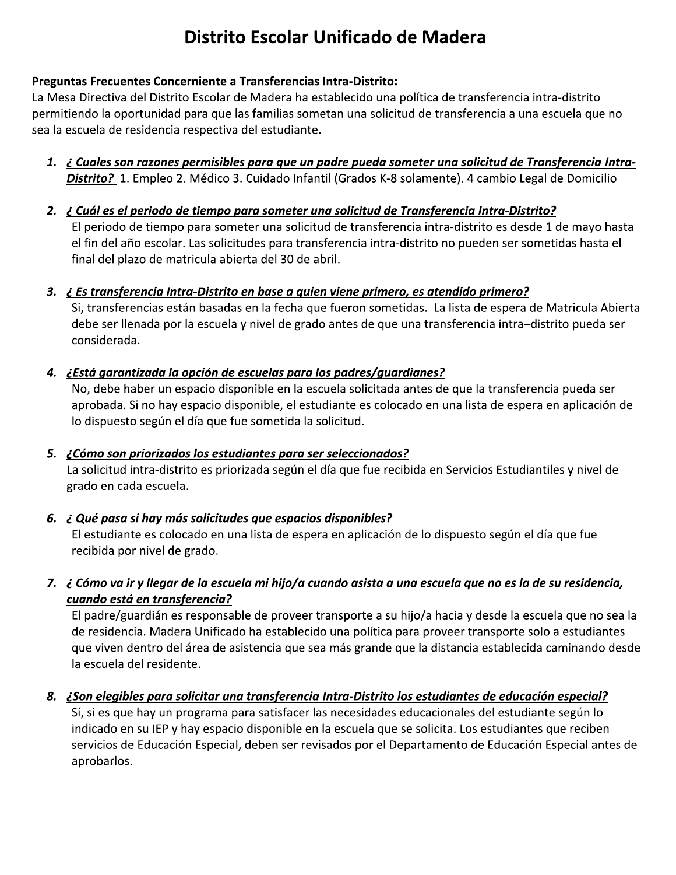# Distrito Escolar Unificado de Madera

## Preguntas Frecuentes Concerniente a Transferencias Intra-Distrito:

La Mesa Directiva del Distrito Escolar de Madera ha establecido una política de transferencia intra-distrito permitiendo la oportunidad para que las familias sometan una solicitud de transferencia a una escuela que no sea la escuela de residencia respectiva del estudiante.

- 1. ¿ Cuales son razones permisibles para que un padre pueda someter una solicitud de Transferencia Intra-Distrito? 1. Empleo 2. Médico 3. Cuidado Infantil (Grados K-8 solamente). 4 cambio Legal de Domicilio
- 2. ¿ Cuál es el periodo de tiempo para someter una solicitud de Transferencia Intra-Distrito? El periodo de tiempo para someter una solicitud de transferencia intra-distrito es desde 1 de mayo hasta el fin del año escolar. Las solicitudes para transferencia intra-distrito no pueden ser sometidas hasta el final del plazo de matricula abierta del 30 de abril.
- 3. ¿ Es transferencia Intra-Distrito en base a quien viene primero, es atendido primero?

Si, transferencias están basadas en la fecha que fueron sometidas. La lista de espera de Matricula Abierta debe ser llenada por la escuela y nivel de grado antes de que una transferencia intra-distrito pueda ser considerada.

## 4. ¿Está garantizada la opción de escuelas para los padres/guardianes?

No, debe haber un espacio disponible en la escuela solicitada antes de que la transferencia pueda ser aprobada. Si no hay espacio disponible, el estudiante es colocado en una lista de espera en aplicación de lo dispuesto según el día que fue sometida la solicitud.

- 5. ¿Cómo son priorizados los estudiantes para ser seleccionados? La solicitud intra-distrito es priorizada según el día que fue recibida en Servicios Estudiantiles y nivel de grado en cada escuela.
- 6. ¿ Qué pasa si hay más solicitudes que espacios disponibles?

El estudiante es colocado en una lista de espera en aplicación de lo dispuesto según el día que fue recibida por nivel de grado.

7. ¿ Cómo va ir y llegar de la escuela mi hijo/a cuando asista a una escuela que no es la de su residencia, cuando está en transferencia?

El padre/guardián es responsable de proveer transporte a su hijo/a hacia y desde la escuela que no sea la de residencia. Madera Unificado ha establecido una política para proveer transporte solo a estudiantes que viven dentro del área de asistencia que sea más grande que la distancia establecida caminando desde la escuela del residente.

#### 8. ¿Son elegibles para solicitar una transferencia Intra-Distrito los estudiantes de educación especial?

Sí, si es que hay un programa para satisfacer las necesidades educacionales del estudiante según lo indicado en su IEP y hay espacio disponible en la escuela que se solicita. Los estudiantes que reciben servicios de Educación Especial, deben ser revisados por el Departamento de Educación Especial antes de aprobarlos.